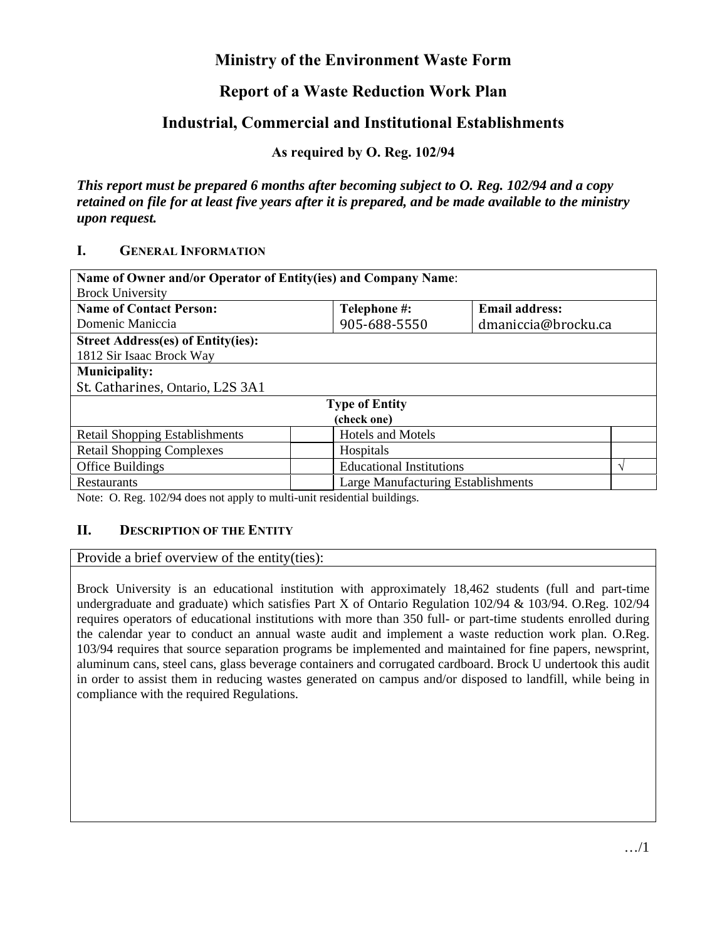# **Ministry of the Environment Waste Form**

# **Report of a Waste Reduction Work Plan**

# **Industrial, Commercial and Institutional Establishments**

**As required by O. Reg. 102/94** 

*This report must be prepared 6 months after becoming subject to O. Reg. 102/94 and a copy retained on file for at least five years after it is prepared, and be made available to the ministry upon request.* 

### **I. GENERAL INFORMATION**

| Name of Owner and/or Operator of Entity(ies) and Company Name: |                                    |                       |   |  |
|----------------------------------------------------------------|------------------------------------|-----------------------|---|--|
| <b>Brock University</b>                                        |                                    |                       |   |  |
| <b>Name of Contact Person:</b>                                 | Telephone #:                       | <b>Email address:</b> |   |  |
| Domenic Maniccia                                               | 905-688-5550                       | dmaniccia@brocku.ca   |   |  |
| <b>Street Address(es) of Entity(ies):</b>                      |                                    |                       |   |  |
| 1812 Sir Isaac Brock Way                                       |                                    |                       |   |  |
| <b>Municipality:</b>                                           |                                    |                       |   |  |
| St. Catharines, Ontario, L2S 3A1                               |                                    |                       |   |  |
| <b>Type of Entity</b>                                          |                                    |                       |   |  |
| (check one)                                                    |                                    |                       |   |  |
| <b>Retail Shopping Establishments</b>                          | <b>Hotels and Motels</b>           |                       |   |  |
| <b>Retail Shopping Complexes</b>                               | Hospitals                          |                       |   |  |
| Office Buildings                                               | <b>Educational Institutions</b>    |                       | N |  |
| Restaurants                                                    | Large Manufacturing Establishments |                       |   |  |

Note: O. Reg. 102/94 does not apply to multi-unit residential buildings.

#### **II. DESCRIPTION OF THE ENTITY**

Provide a brief overview of the entity(ties):

Brock University is an educational institution with approximately 18,462 students (full and part-time undergraduate and graduate) which satisfies Part X of Ontario Regulation 102/94 & 103/94. O.Reg. 102/94 requires operators of educational institutions with more than 350 full- or part-time students enrolled during the calendar year to conduct an annual waste audit and implement a waste reduction work plan. O.Reg. 103/94 requires that source separation programs be implemented and maintained for fine papers, newsprint, aluminum cans, steel cans, glass beverage containers and corrugated cardboard. Brock U undertook this audit in order to assist them in reducing wastes generated on campus and/or disposed to landfill, while being in compliance with the required Regulations.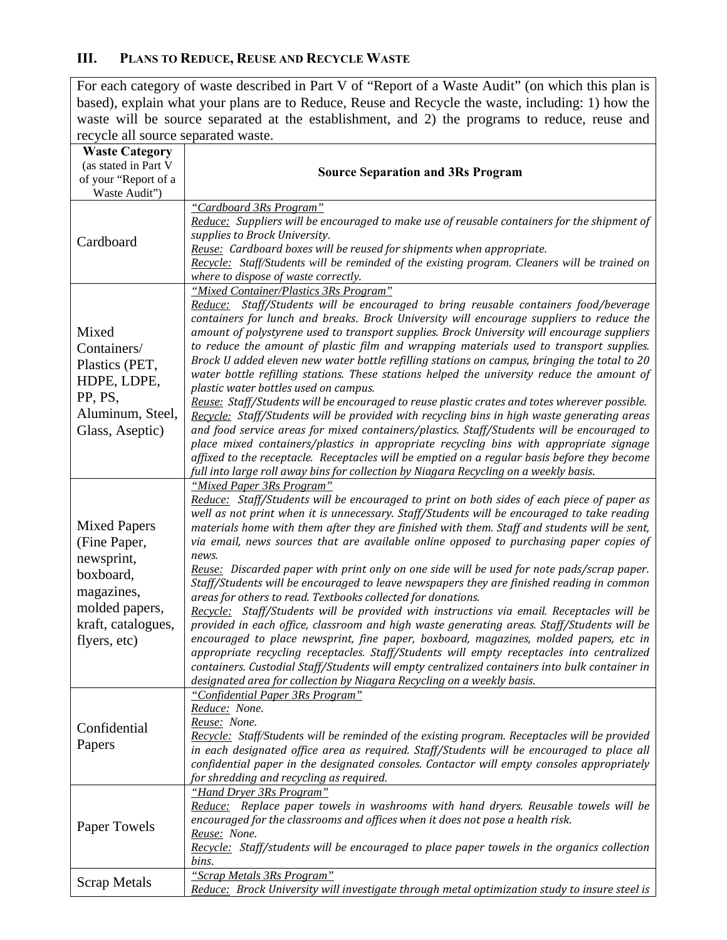## **III. PLANS TO REDUCE, REUSE AND RECYCLE WASTE**

For each category of waste described in Part V of "Report of a Waste Audit" (on which this plan is based), explain what your plans are to Reduce, Reuse and Recycle the waste, including: 1) how the waste will be source separated at the establishment, and 2) the programs to reduce, reuse and recycle all source separated waste.

| <b>Waste Category</b><br>(as stated in Part V<br>of your "Report of a<br>Waste Audit")                                               | <b>Source Separation and 3Rs Program</b>                                                                                                                                                                                                                                                                                                                                                                                                                                                                                                                                                                                                                                                                                                                                                                                                                                                                                                                                                                                                                                                                                                                                                                                                          |
|--------------------------------------------------------------------------------------------------------------------------------------|---------------------------------------------------------------------------------------------------------------------------------------------------------------------------------------------------------------------------------------------------------------------------------------------------------------------------------------------------------------------------------------------------------------------------------------------------------------------------------------------------------------------------------------------------------------------------------------------------------------------------------------------------------------------------------------------------------------------------------------------------------------------------------------------------------------------------------------------------------------------------------------------------------------------------------------------------------------------------------------------------------------------------------------------------------------------------------------------------------------------------------------------------------------------------------------------------------------------------------------------------|
| Cardboard                                                                                                                            | "Cardboard 3Rs Program"<br>Reduce: Suppliers will be encouraged to make use of reusable containers for the shipment of<br>supplies to Brock University.<br>Reuse: Cardboard boxes will be reused for shipments when appropriate.<br>Recycle: Staff/Students will be reminded of the existing program. Cleaners will be trained on<br>where to dispose of waste correctly.                                                                                                                                                                                                                                                                                                                                                                                                                                                                                                                                                                                                                                                                                                                                                                                                                                                                         |
| Mixed<br>Containers/<br>Plastics (PET,<br>HDPE, LDPE,<br>PP, PS,<br>Aluminum, Steel,<br>Glass, Aseptic)                              | "Mixed Container/Plastics 3Rs Program"<br>Reduce: Staff/Students will be encouraged to bring reusable containers food/beverage<br>containers for lunch and breaks. Brock University will encourage suppliers to reduce the<br>amount of polystyrene used to transport supplies. Brock University will encourage suppliers<br>to reduce the amount of plastic film and wrapping materials used to transport supplies.<br>Brock U added eleven new water bottle refilling stations on campus, bringing the total to 20<br>water bottle refilling stations. These stations helped the university reduce the amount of<br>plastic water bottles used on campus.<br>Reuse: Staff/Students will be encouraged to reuse plastic crates and totes wherever possible.<br>Recycle: Staff/Students will be provided with recycling bins in high waste generating areas<br>and food service areas for mixed containers/plastics. Staff/Students will be encouraged to<br>place mixed containers/plastics in appropriate recycling bins with appropriate signage<br>affixed to the receptacle. Receptacles will be emptied on a regular basis before they become<br>full into large roll away bins for collection by Niagara Recycling on a weekly basis.      |
| <b>Mixed Papers</b><br>(Fine Paper,<br>newsprint,<br>boxboard,<br>magazines,<br>molded papers,<br>kraft, catalogues,<br>flyers, etc) | "Mixed Paper 3Rs Program"<br>Reduce: Staff/Students will be encouraged to print on both sides of each piece of paper as<br>well as not print when it is unnecessary. Staff/Students will be encouraged to take reading<br>materials home with them after they are finished with them. Staff and students will be sent,<br>via email, news sources that are available online opposed to purchasing paper copies of<br>news.<br>Reuse: Discarded paper with print only on one side will be used for note pads/scrap paper.<br>Staff/Students will be encouraged to leave newspapers they are finished reading in common<br>areas for others to read. Textbooks collected for donations.<br>Recycle: Staff/Students will be provided with instructions via email. Receptacles will be<br>provided in each office, classroom and high waste generating areas. Staff/Students will be<br>encouraged to place newsprint, fine paper, boxboard, magazines, molded papers, etc in<br>appropriate recycling receptacles. Staff/Students will empty receptacles into centralized<br>containers. Custodial Staff/Students will empty centralized containers into bulk container in<br>designated area for collection by Niagara Recycling on a weekly basis. |
| Confidential<br>Papers                                                                                                               | "Confidential Paper 3Rs Program"<br>Reduce: None.<br>Reuse: None.<br>Recycle: Staff/Students will be reminded of the existing program. Receptacles will be provided<br>in each designated office area as required. Staff/Students will be encouraged to place all<br>confidential paper in the designated consoles. Contactor will empty consoles appropriately<br>for shredding and recycling as required.                                                                                                                                                                                                                                                                                                                                                                                                                                                                                                                                                                                                                                                                                                                                                                                                                                       |
| Paper Towels                                                                                                                         | "Hand Dryer 3Rs Program"<br>Reduce: Replace paper towels in washrooms with hand dryers. Reusable towels will be<br>encouraged for the classrooms and offices when it does not pose a health risk.<br>Reuse: None.<br>Recycle: Staff/students will be encouraged to place paper towels in the organics collection<br>bins.                                                                                                                                                                                                                                                                                                                                                                                                                                                                                                                                                                                                                                                                                                                                                                                                                                                                                                                         |
| <b>Scrap Metals</b>                                                                                                                  | "Scrap Metals 3Rs Program"<br>Reduce: Brock University will investigate through metal optimization study to insure steel is                                                                                                                                                                                                                                                                                                                                                                                                                                                                                                                                                                                                                                                                                                                                                                                                                                                                                                                                                                                                                                                                                                                       |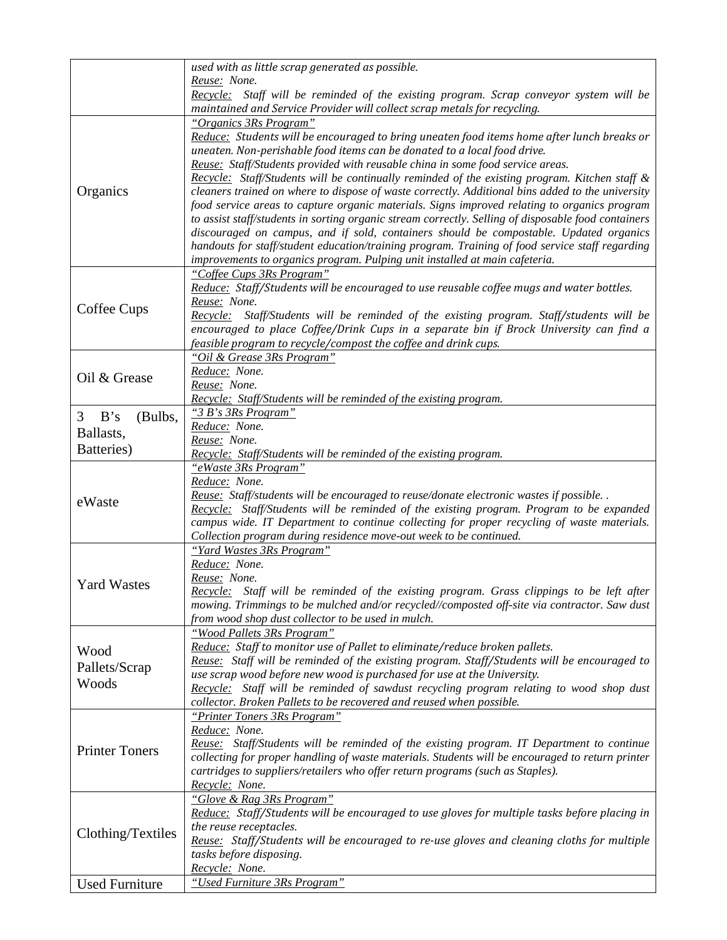|                       | used with as little scrap generated as possible.                                                                                                                                                                                                                                                                                                                                                                                                                                |
|-----------------------|---------------------------------------------------------------------------------------------------------------------------------------------------------------------------------------------------------------------------------------------------------------------------------------------------------------------------------------------------------------------------------------------------------------------------------------------------------------------------------|
|                       | Reuse: None.                                                                                                                                                                                                                                                                                                                                                                                                                                                                    |
|                       | Recycle: Staff will be reminded of the existing program. Scrap conveyor system will be<br>maintained and Service Provider will collect scrap metals for recycling.                                                                                                                                                                                                                                                                                                              |
|                       | "Organics 3Rs Program"                                                                                                                                                                                                                                                                                                                                                                                                                                                          |
| Organics              | Reduce: Students will be encouraged to bring uneaten food items home after lunch breaks or<br>uneaten. Non-perishable food items can be donated to a local food drive.<br>Reuse: Staff/Students provided with reusable china in some food service areas.<br>Recycle: Staff/Students will be continually reminded of the existing program. Kitchen staff &<br>cleaners trained on where to dispose of waste correctly. Additional bins added to the university                   |
|                       | food service areas to capture organic materials. Signs improved relating to organics program<br>to assist staff/students in sorting organic stream correctly. Selling of disposable food containers<br>discouraged on campus, and if sold, containers should be compostable. Updated organics<br>handouts for staff/student education/training program. Training of food service staff regarding<br>improvements to organics program. Pulping unit installed at main cafeteria. |
|                       | "Coffee Cups 3Rs Program"<br>Reduce: Staff/Students will be encouraged to use reusable coffee mugs and water bottles.<br>Reuse: None.                                                                                                                                                                                                                                                                                                                                           |
| Coffee Cups           | Recycle: Staff/Students will be reminded of the existing program. Staff/students will be<br>encouraged to place Coffee/Drink Cups in a separate bin if Brock University can find a<br>feasible program to recycle/compost the coffee and drink cups.                                                                                                                                                                                                                            |
|                       | "Oil & Grease 3Rs Program"                                                                                                                                                                                                                                                                                                                                                                                                                                                      |
| Oil & Grease          | Reduce: None.                                                                                                                                                                                                                                                                                                                                                                                                                                                                   |
|                       | Reuse: None.<br>Recycle: Staff/Students will be reminded of the existing program.                                                                                                                                                                                                                                                                                                                                                                                               |
|                       | "3 B's 3Rs Program"                                                                                                                                                                                                                                                                                                                                                                                                                                                             |
| B's<br>3<br>(Bulbs,   | Reduce: None.                                                                                                                                                                                                                                                                                                                                                                                                                                                                   |
| Ballasts,             | Reuse: None.                                                                                                                                                                                                                                                                                                                                                                                                                                                                    |
| Batteries)            | Recycle: Staff/Students will be reminded of the existing program.                                                                                                                                                                                                                                                                                                                                                                                                               |
|                       | "eWaste 3Rs Program"                                                                                                                                                                                                                                                                                                                                                                                                                                                            |
| eWaste                | Reduce: None.<br>Reuse: Staff/students will be encouraged to reuse/donate electronic wastes if possible<br>Recycle: Staff/Students will be reminded of the existing program. Program to be expanded<br>campus wide. IT Department to continue collecting for proper recycling of waste materials.                                                                                                                                                                               |
|                       | Collection program during residence move-out week to be continued.<br>"Yard Wastes 3Rs Program"                                                                                                                                                                                                                                                                                                                                                                                 |
|                       | Reduce: None.<br>Reuse: None.                                                                                                                                                                                                                                                                                                                                                                                                                                                   |
| <b>Yard Wastes</b>    | Recycle: Staff will be reminded of the existing program. Grass clippings to be left after<br>mowing. Trimmings to be mulched and/or recycled//composted off-site via contractor. Saw dust<br>from wood shop dust collector to be used in mulch.                                                                                                                                                                                                                                 |
|                       | "Wood Pallets 3Rs Program"                                                                                                                                                                                                                                                                                                                                                                                                                                                      |
| Wood                  | Reduce: Staff to monitor use of Pallet to eliminate/reduce broken pallets.                                                                                                                                                                                                                                                                                                                                                                                                      |
| Pallets/Scrap         | Reuse: Staff will be reminded of the existing program. Staff/Students will be encouraged to<br>use scrap wood before new wood is purchased for use at the University.                                                                                                                                                                                                                                                                                                           |
| Woods                 | Recycle: Staff will be reminded of sawdust recycling program relating to wood shop dust<br>collector. Broken Pallets to be recovered and reused when possible.                                                                                                                                                                                                                                                                                                                  |
|                       | "Printer Toners 3Rs Program"<br>Reduce: None.                                                                                                                                                                                                                                                                                                                                                                                                                                   |
| <b>Printer Toners</b> | Reuse: Staff/Students will be reminded of the existing program. IT Department to continue<br>collecting for proper handling of waste materials. Students will be encouraged to return printer<br>cartridges to suppliers/retailers who offer return programs (such as Staples).<br>Recycle: None.                                                                                                                                                                               |
|                       | "Glove & Rag 3Rs Program"                                                                                                                                                                                                                                                                                                                                                                                                                                                       |
| Clothing/Textiles     | Reduce: Staff/Students will be encouraged to use gloves for multiple tasks before placing in<br>the reuse receptacles.<br>Reuse: Staff/Students will be encouraged to re-use gloves and cleaning cloths for multiple                                                                                                                                                                                                                                                            |
|                       | tasks before disposing.<br>Recycle: None.                                                                                                                                                                                                                                                                                                                                                                                                                                       |
| <b>Used Furniture</b> | "Used Furniture 3Rs Program"                                                                                                                                                                                                                                                                                                                                                                                                                                                    |
|                       |                                                                                                                                                                                                                                                                                                                                                                                                                                                                                 |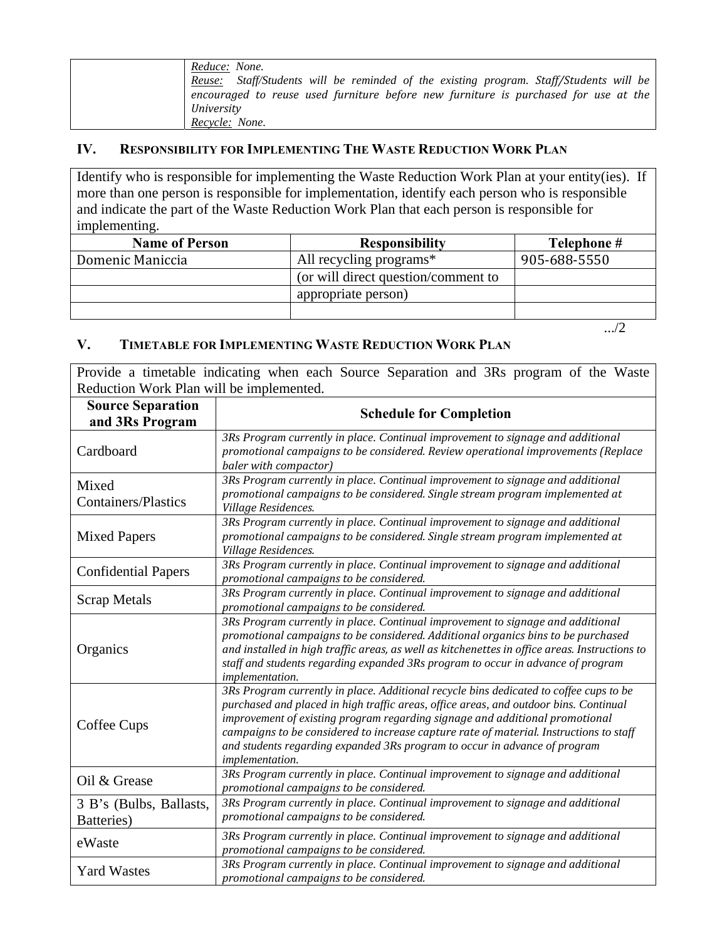| Reduce: None.                                                                          |
|----------------------------------------------------------------------------------------|
| Reuse: Staff/Students will be reminded of the existing program. Staff/Students will be |
| encouraged to reuse used furniture before new furniture is purchased for use at the    |
| University                                                                             |
| Recycle: None.                                                                         |

## **IV. RESPONSIBILITY FOR IMPLEMENTING THE WASTE REDUCTION WORK PLAN**

Identify who is responsible for implementing the Waste Reduction Work Plan at your entity(ies). If more than one person is responsible for implementation, identify each person who is responsible and indicate the part of the Waste Reduction Work Plan that each person is responsible for implementing.

| <b>Name of Person</b> | <b>Responsibility</b>               | Telephone #  |
|-----------------------|-------------------------------------|--------------|
| Domenic Maniccia      | All recycling programs*             | 905-688-5550 |
|                       | (or will direct question/comment to |              |
|                       | appropriate person)                 |              |
|                       |                                     |              |

.../2

#### **V. TIMETABLE FOR IMPLEMENTING WASTE REDUCTION WORK PLAN**

Provide a timetable indicating when each Source Separation and 3Rs program of the Waste Reduction Work Plan will be implemented.

| <b>Source Separation</b><br>and 3Rs Program | <b>Schedule for Completion</b>                                                                                                                                                                                                                                                                                                                                                                                                                             |
|---------------------------------------------|------------------------------------------------------------------------------------------------------------------------------------------------------------------------------------------------------------------------------------------------------------------------------------------------------------------------------------------------------------------------------------------------------------------------------------------------------------|
| Cardboard                                   | 3Rs Program currently in place. Continual improvement to signage and additional<br>promotional campaigns to be considered. Review operational improvements (Replace<br>baler with compactor)                                                                                                                                                                                                                                                               |
| Mixed<br><b>Containers/Plastics</b>         | 3Rs Program currently in place. Continual improvement to signage and additional<br>promotional campaigns to be considered. Single stream program implemented at<br>Village Residences.                                                                                                                                                                                                                                                                     |
| <b>Mixed Papers</b>                         | 3Rs Program currently in place. Continual improvement to signage and additional<br>promotional campaigns to be considered. Single stream program implemented at<br>Village Residences.                                                                                                                                                                                                                                                                     |
| <b>Confidential Papers</b>                  | 3Rs Program currently in place. Continual improvement to signage and additional<br>promotional campaigns to be considered.                                                                                                                                                                                                                                                                                                                                 |
| <b>Scrap Metals</b>                         | 3Rs Program currently in place. Continual improvement to signage and additional<br>promotional campaigns to be considered.                                                                                                                                                                                                                                                                                                                                 |
| Organics                                    | 3Rs Program currently in place. Continual improvement to signage and additional<br>promotional campaigns to be considered. Additional organics bins to be purchased<br>and installed in high traffic areas, as well as kitchenettes in office areas. Instructions to<br>staff and students regarding expanded 3Rs program to occur in advance of program<br>implementation.                                                                                |
| Coffee Cups                                 | 3Rs Program currently in place. Additional recycle bins dedicated to coffee cups to be<br>purchased and placed in high traffic areas, office areas, and outdoor bins. Continual<br>improvement of existing program regarding signage and additional promotional<br>campaigns to be considered to increase capture rate of material. Instructions to staff<br>and students regarding expanded 3Rs program to occur in advance of program<br>implementation. |
| Oil & Grease                                | 3Rs Program currently in place. Continual improvement to signage and additional<br>promotional campaigns to be considered.                                                                                                                                                                                                                                                                                                                                 |
| 3 B's (Bulbs, Ballasts,<br>Batteries)       | 3Rs Program currently in place. Continual improvement to signage and additional<br>promotional campaigns to be considered.                                                                                                                                                                                                                                                                                                                                 |
| eWaste                                      | 3Rs Program currently in place. Continual improvement to signage and additional<br>promotional campaigns to be considered.                                                                                                                                                                                                                                                                                                                                 |
| <b>Yard Wastes</b>                          | 3Rs Program currently in place. Continual improvement to signage and additional<br>promotional campaigns to be considered.                                                                                                                                                                                                                                                                                                                                 |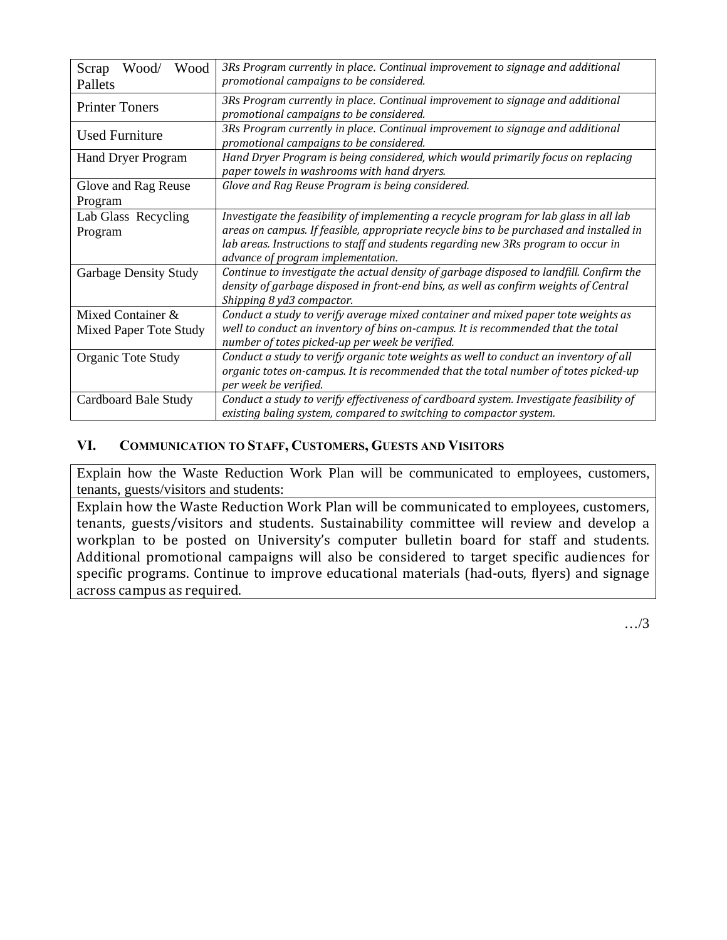| Wood<br>Wood/<br>Scrap<br>Pallets           | 3Rs Program currently in place. Continual improvement to signage and additional<br>promotional campaigns to be considered.                                                                                                                                                                                     |
|---------------------------------------------|----------------------------------------------------------------------------------------------------------------------------------------------------------------------------------------------------------------------------------------------------------------------------------------------------------------|
| <b>Printer Toners</b>                       | 3Rs Program currently in place. Continual improvement to signage and additional<br>promotional campaigns to be considered.                                                                                                                                                                                     |
| <b>Used Furniture</b>                       | 3Rs Program currently in place. Continual improvement to signage and additional<br>promotional campaigns to be considered.                                                                                                                                                                                     |
| <b>Hand Dryer Program</b>                   | Hand Dryer Program is being considered, which would primarily focus on replacing<br>paper towels in washrooms with hand dryers.                                                                                                                                                                                |
| Glove and Rag Reuse<br>Program              | Glove and Rag Reuse Program is being considered.                                                                                                                                                                                                                                                               |
| Lab Glass Recycling<br>Program              | Investigate the feasibility of implementing a recycle program for lab glass in all lab<br>areas on campus. If feasible, appropriate recycle bins to be purchased and installed in<br>lab areas. Instructions to staff and students regarding new 3Rs program to occur in<br>advance of program implementation. |
| <b>Garbage Density Study</b>                | Continue to investigate the actual density of garbage disposed to landfill. Confirm the<br>density of garbage disposed in front-end bins, as well as confirm weights of Central<br>Shipping 8 yd3 compactor.                                                                                                   |
| Mixed Container &<br>Mixed Paper Tote Study | Conduct a study to verify average mixed container and mixed paper tote weights as<br>well to conduct an inventory of bins on-campus. It is recommended that the total<br>number of totes picked-up per week be verified.                                                                                       |
| Organic Tote Study                          | Conduct a study to verify organic tote weights as well to conduct an inventory of all<br>organic totes on-campus. It is recommended that the total number of totes picked-up<br>per week be verified.                                                                                                          |
| Cardboard Bale Study                        | Conduct a study to verify effectiveness of cardboard system. Investigate feasibility of<br>existing baling system, compared to switching to compactor system.                                                                                                                                                  |

## **VI. COMMUNICATION TO STAFF, CUSTOMERS, GUESTS AND VISITORS**

Explain how the Waste Reduction Work Plan will be communicated to employees, customers, tenants, guests/visitors and students:

Explain how the Waste Reduction Work Plan will be communicated to employees, customers, tenants, guests/visitors and students. Sustainability committee will review and develop a workplan to be posted on University's computer bulletin board for staff and students. Additional promotional campaigns will also be considered to target specific audiences for specific programs. Continue to improve educational materials (had-outs, flyers) and signage across campus as required.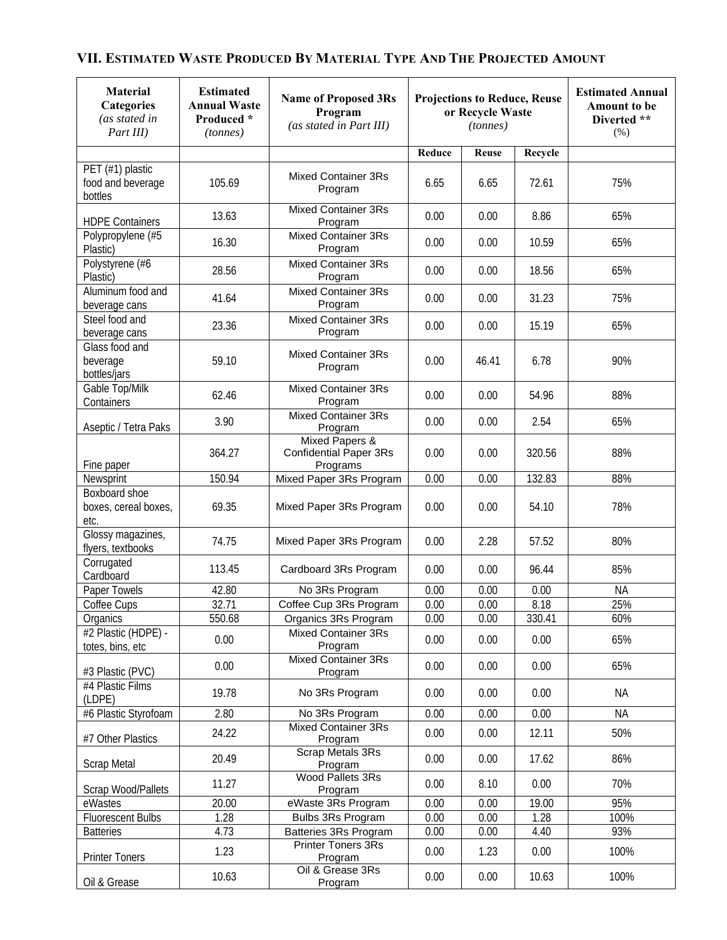| <b>Material</b><br><b>Categories</b><br>(as stated in<br>Part III) | <b>Estimated</b><br><b>Annual Waste</b><br>Produced *<br>(tonnes) | <b>Name of Proposed 3Rs</b><br>Program<br>(as stated in Part III) | <b>Projections to Reduce, Reuse</b><br>or Recycle Waste<br>(tonnes) |              | <b>Estimated Annual</b><br><b>Amount to be</b><br>Diverted **<br>(% ) |           |
|--------------------------------------------------------------------|-------------------------------------------------------------------|-------------------------------------------------------------------|---------------------------------------------------------------------|--------------|-----------------------------------------------------------------------|-----------|
|                                                                    |                                                                   |                                                                   | Reduce                                                              | <b>Reuse</b> | Recycle                                                               |           |
| PET (#1) plastic<br>food and beverage<br>bottles                   | 105.69                                                            | <b>Mixed Container 3Rs</b><br>Program                             | 6.65                                                                | 6.65         | 72.61                                                                 | 75%       |
| <b>HDPE Containers</b>                                             | 13.63                                                             | <b>Mixed Container 3Rs</b><br>Program                             | 0.00                                                                | 0.00         | 8.86                                                                  | 65%       |
| Polypropylene (#5<br>Plastic)                                      | 16.30                                                             | <b>Mixed Container 3Rs</b><br>Program                             | 0.00                                                                | 0.00         | 10.59                                                                 | 65%       |
| Polystyrene (#6<br>Plastic)                                        | 28.56                                                             | <b>Mixed Container 3Rs</b><br>Program                             | 0.00                                                                | 0.00         | 18.56                                                                 | 65%       |
| Aluminum food and<br>beverage cans                                 | 41.64                                                             | <b>Mixed Container 3Rs</b><br>Program                             | 0.00                                                                | 0.00         | 31.23                                                                 | 75%       |
| Steel food and<br>beverage cans                                    | 23.36                                                             | <b>Mixed Container 3Rs</b><br>Program                             | 0.00                                                                | 0.00         | 15.19                                                                 | 65%       |
| Glass food and<br>beverage<br>bottles/jars                         | 59.10                                                             | <b>Mixed Container 3Rs</b><br>Program                             | 0.00                                                                | 46.41        | 6.78                                                                  | 90%       |
| Gable Top/Milk<br>Containers                                       | 62.46                                                             | <b>Mixed Container 3Rs</b><br>Program                             | 0.00                                                                | 0.00         | 54.96                                                                 | 88%       |
| Aseptic / Tetra Paks                                               | 3.90                                                              | <b>Mixed Container 3Rs</b><br>Program                             | 0.00                                                                | 0.00         | 2.54                                                                  | 65%       |
| Fine paper                                                         | 364.27                                                            | Mixed Papers &<br><b>Confidential Paper 3Rs</b><br>Programs       | 0.00                                                                | 0.00         | 320.56                                                                | 88%       |
| Newsprint                                                          | 150.94                                                            | Mixed Paper 3Rs Program                                           | 0.00                                                                | 0.00         | 132.83                                                                | 88%       |
| Boxboard shoe<br>boxes, cereal boxes,<br>etc.                      | 69.35                                                             | Mixed Paper 3Rs Program                                           | 0.00                                                                | 0.00         | 54.10                                                                 | 78%       |
| Glossy magazines,<br>flyers, textbooks                             | 74.75                                                             | Mixed Paper 3Rs Program                                           | 0.00                                                                | 2.28         | 57.52                                                                 | 80%       |
| Corrugated<br>Cardboard                                            | 113.45                                                            | Cardboard 3Rs Program                                             | 0.00                                                                | 0.00         | 96.44                                                                 | 85%       |
| Paper Towels                                                       | 42.80                                                             | No 3Rs Program                                                    | 0.00                                                                | 0.00         | 0.00                                                                  | <b>NA</b> |
| Coffee Cups                                                        | 32.71                                                             | Coffee Cup 3Rs Program                                            | 0.00                                                                | 0.00         | 8.18                                                                  | 25%       |
| Organics                                                           | 550.68                                                            | Organics 3Rs Program                                              | 0.00                                                                | 0.00         | 330.41                                                                | 60%       |
| #2 Plastic (HDPE) -<br>totes, bins, etc                            | 0.00                                                              | <b>Mixed Container 3Rs</b><br>Program                             | 0.00                                                                | 0.00         | 0.00                                                                  | 65%       |
| #3 Plastic (PVC)                                                   | 0.00                                                              | <b>Mixed Container 3Rs</b><br>Program                             | 0.00                                                                | 0.00         | 0.00                                                                  | 65%       |
| #4 Plastic Films<br>(LDPE)                                         | 19.78                                                             | No 3Rs Program                                                    | 0.00                                                                | 0.00         | 0.00                                                                  | <b>NA</b> |
| #6 Plastic Styrofoam                                               | 2.80                                                              | No 3Rs Program                                                    | 0.00                                                                | 0.00         | 0.00                                                                  | <b>NA</b> |
| #7 Other Plastics                                                  | 24.22                                                             | <b>Mixed Container 3Rs</b><br>Program                             | 0.00                                                                | 0.00         | 12.11                                                                 | 50%       |
| <b>Scrap Metal</b>                                                 | 20.49                                                             | Scrap Metals 3Rs<br>Program                                       | 0.00                                                                | 0.00         | 17.62                                                                 | 86%       |
| Scrap Wood/Pallets                                                 | 11.27                                                             | <b>Wood Pallets 3Rs</b><br>Program                                | 0.00                                                                | 8.10         | 0.00                                                                  | 70%       |
| eWastes                                                            | 20.00                                                             | eWaste 3Rs Program                                                | 0.00                                                                | 0.00         | 19.00                                                                 | 95%       |
| <b>Fluorescent Bulbs</b>                                           | 1.28                                                              | Bulbs 3Rs Program                                                 | 0.00                                                                | 0.00         | 1.28                                                                  | 100%      |
| <b>Batteries</b>                                                   | 4.73                                                              | Batteries 3Rs Program                                             | 0.00                                                                | 0.00         | 4.40                                                                  | 93%       |
| <b>Printer Toners</b>                                              | 1.23                                                              | Printer Toners 3Rs<br>Program<br>Oil & Grease 3Rs                 | 0.00                                                                | 1.23         | 0.00                                                                  | 100%      |
| Oil & Grease                                                       | 10.63                                                             | Program                                                           | 0.00                                                                | 0.00         | 10.63                                                                 | 100%      |

# **VII. ESTIMATED WASTE PRODUCED BY MATERIAL TYPE AND THE PROJECTED AMOUNT**